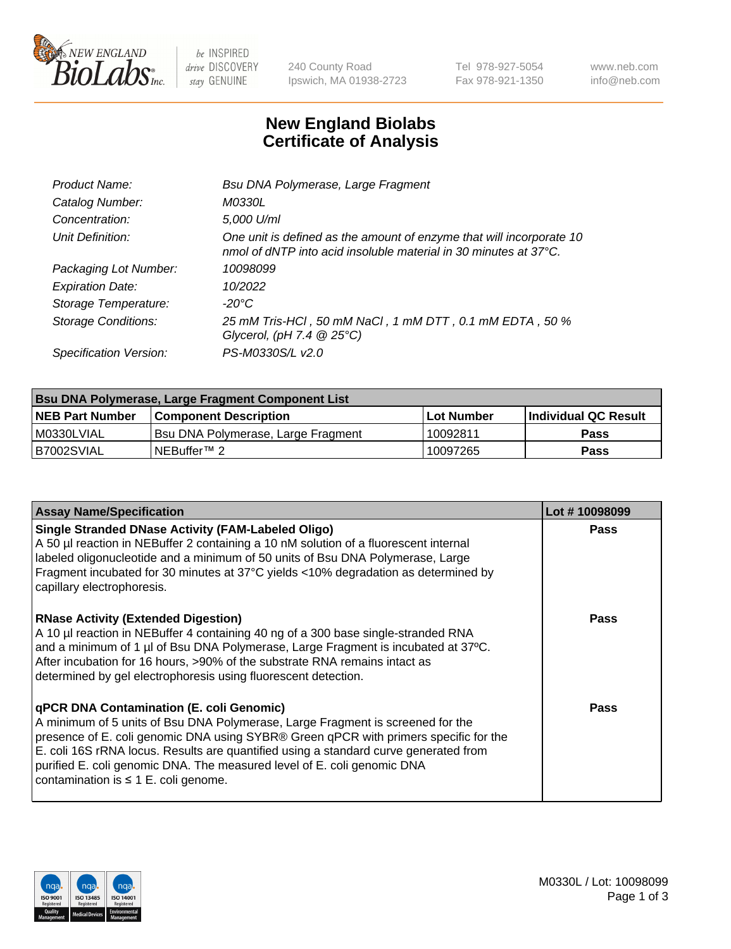

 $be$  INSPIRED drive DISCOVERY stay GENUINE

240 County Road Ipswich, MA 01938-2723 Tel 978-927-5054 Fax 978-921-1350 www.neb.com info@neb.com

## **New England Biolabs Certificate of Analysis**

| Product Name:              | Bsu DNA Polymerase, Large Fragment                                                                                                                 |
|----------------------------|----------------------------------------------------------------------------------------------------------------------------------------------------|
| Catalog Number:            | <i>M0330L</i>                                                                                                                                      |
| Concentration:             | 5,000 U/ml                                                                                                                                         |
| Unit Definition:           | One unit is defined as the amount of enzyme that will incorporate 10<br>nmol of dNTP into acid insoluble material in 30 minutes at $37^{\circ}$ C. |
| Packaging Lot Number:      | 10098099                                                                                                                                           |
| <b>Expiration Date:</b>    | 10/2022                                                                                                                                            |
| Storage Temperature:       | $-20^{\circ}$ C                                                                                                                                    |
| <b>Storage Conditions:</b> | 25 mM Tris-HCl , 50 mM NaCl , 1 mM DTT , 0.1 mM EDTA , 50 %<br>Glycerol, (pH 7.4 $@25°C$ )                                                         |
| Specification Version:     | PS-M0330S/L v2.0                                                                                                                                   |

| Bsu DNA Polymerase, Large Fragment Component List |                                    |                   |                      |  |
|---------------------------------------------------|------------------------------------|-------------------|----------------------|--|
| <b>NEB Part Number</b>                            | Component Description_             | <b>Lot Number</b> | Individual QC Result |  |
| I M0330LVIAL                                      | Bsu DNA Polymerase, Large Fragment | 10092811          | <b>Pass</b>          |  |
| B7002SVIAL                                        | INEBuffer™ 2_                      | 10097265          | <b>Pass</b>          |  |

| <b>Assay Name/Specification</b>                                                                                                                                                                                                                                                                                                                                                                                                    | Lot #10098099 |
|------------------------------------------------------------------------------------------------------------------------------------------------------------------------------------------------------------------------------------------------------------------------------------------------------------------------------------------------------------------------------------------------------------------------------------|---------------|
| <b>Single Stranded DNase Activity (FAM-Labeled Oligo)</b><br>A 50 µl reaction in NEBuffer 2 containing a 10 nM solution of a fluorescent internal<br>labeled oligonucleotide and a minimum of 50 units of Bsu DNA Polymerase, Large<br>Fragment incubated for 30 minutes at 37°C yields <10% degradation as determined by<br>capillary electrophoresis.                                                                            | <b>Pass</b>   |
| <b>RNase Activity (Extended Digestion)</b><br>A 10 µl reaction in NEBuffer 4 containing 40 ng of a 300 base single-stranded RNA<br>and a minimum of 1 µl of Bsu DNA Polymerase, Large Fragment is incubated at 37°C.<br>After incubation for 16 hours, >90% of the substrate RNA remains intact as<br>determined by gel electrophoresis using fluorescent detection.                                                               | <b>Pass</b>   |
| qPCR DNA Contamination (E. coli Genomic)<br>A minimum of 5 units of Bsu DNA Polymerase, Large Fragment is screened for the<br>presence of E. coli genomic DNA using SYBR® Green qPCR with primers specific for the<br>E. coli 16S rRNA locus. Results are quantified using a standard curve generated from<br>purified E. coli genomic DNA. The measured level of E. coli genomic DNA<br>contamination is $\leq 1$ E. coli genome. | <b>Pass</b>   |

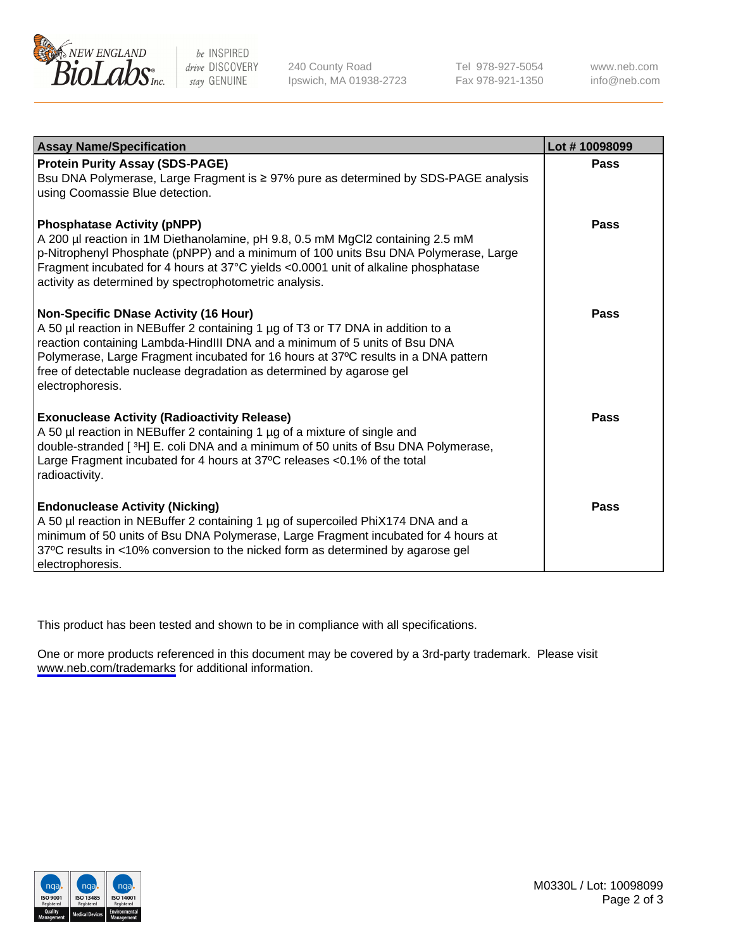

be INSPIRED drive DISCOVERY stay GENUINE

240 County Road Ipswich, MA 01938-2723 Tel 978-927-5054 Fax 978-921-1350

www.neb.com info@neb.com

| <b>Assay Name/Specification</b>                                                                                                                                                                                                                                                                                                                                                                 | Lot #10098099 |
|-------------------------------------------------------------------------------------------------------------------------------------------------------------------------------------------------------------------------------------------------------------------------------------------------------------------------------------------------------------------------------------------------|---------------|
| <b>Protein Purity Assay (SDS-PAGE)</b><br>Bsu DNA Polymerase, Large Fragment is ≥ 97% pure as determined by SDS-PAGE analysis<br>using Coomassie Blue detection.                                                                                                                                                                                                                                | <b>Pass</b>   |
| <b>Phosphatase Activity (pNPP)</b><br>A 200 µl reaction in 1M Diethanolamine, pH 9.8, 0.5 mM MgCl2 containing 2.5 mM<br>p-Nitrophenyl Phosphate (pNPP) and a minimum of 100 units Bsu DNA Polymerase, Large<br>Fragment incubated for 4 hours at 37°C yields <0.0001 unit of alkaline phosphatase<br>activity as determined by spectrophotometric analysis.                                     | Pass          |
| <b>Non-Specific DNase Activity (16 Hour)</b><br>A 50 µl reaction in NEBuffer 2 containing 1 µg of T3 or T7 DNA in addition to a<br>reaction containing Lambda-HindIII DNA and a minimum of 5 units of Bsu DNA<br>Polymerase, Large Fragment incubated for 16 hours at 37°C results in a DNA pattern<br>free of detectable nuclease degradation as determined by agarose gel<br>electrophoresis. | Pass          |
| <b>Exonuclease Activity (Radioactivity Release)</b><br>A 50 µl reaction in NEBuffer 2 containing 1 µg of a mixture of single and<br>double-stranded [3H] E. coli DNA and a minimum of 50 units of Bsu DNA Polymerase,<br>Large Fragment incubated for 4 hours at 37°C releases <0.1% of the total<br>radioactivity.                                                                             | Pass          |
| <b>Endonuclease Activity (Nicking)</b><br>A 50 µl reaction in NEBuffer 2 containing 1 µg of supercoiled PhiX174 DNA and a<br>minimum of 50 units of Bsu DNA Polymerase, Large Fragment incubated for 4 hours at<br>37°C results in <10% conversion to the nicked form as determined by agarose gel<br>electrophoresis.                                                                          | Pass          |

This product has been tested and shown to be in compliance with all specifications.

One or more products referenced in this document may be covered by a 3rd-party trademark. Please visit <www.neb.com/trademarks>for additional information.